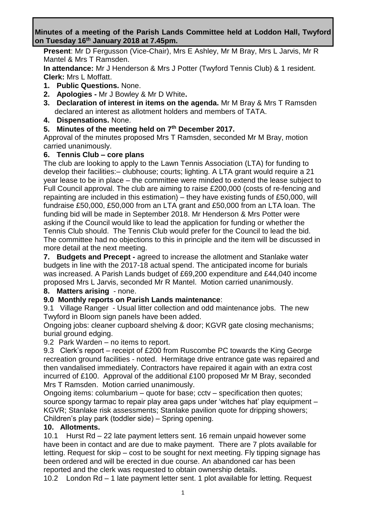### **Minutes of a meeting of the Parish Lands Committee held at Loddon Hall, Twyford on Tuesday 16th January 2018 at 7.45pm.**

**Present**: Mr D Fergusson (Vice-Chair), Mrs E Ashley, Mr M Bray, Mrs L Jarvis, Mr R Mantel & Mrs T Ramsden.

**In attendance:** Mr J Henderson & Mrs J Potter (Twyford Tennis Club) & 1 resident. **Clerk:** Mrs L Moffatt.

- **1. Public Questions.** None.
- **2. Apologies -** Mr J Bowley & Mr D White**.**
- **3. Declaration of interest in items on the agenda.** Mr M Bray & Mrs T Ramsden declared an interest as allotment holders and members of TATA.
- **4. Dispensations.** None.

# **5. Minutes of the meeting held on 7 th December 2017.**

Approval of the minutes proposed Mrs T Ramsden, seconded Mr M Bray, motion carried unanimously.

## **6. Tennis Club – core plans**

The club are looking to apply to the Lawn Tennis Association (LTA) for funding to develop their facilities:– clubhouse; courts; lighting. A LTA grant would require a 21 year lease to be in place – the committee were minded to extend the lease subject to Full Council approval. The club are aiming to raise £200,000 (costs of re-fencing and repainting are included in this estimation) – they have existing funds of £50,000, will fundraise £50,000, £50,000 from an LTA grant and £50,000 from an LTA loan. The funding bid will be made in September 2018. Mr Henderson & Mrs Potter were asking if the Council would like to lead the application for funding or whether the Tennis Club should. The Tennis Club would prefer for the Council to lead the bid. The committee had no objections to this in principle and the item will be discussed in more detail at the next meeting.

**7. Budgets and Precept -** agreed to increase the allotment and Stanlake water budgets in line with the 2017-18 actual spend. The anticipated income for burials was increased. A Parish Lands budget of £69,200 expenditure and £44,040 income proposed Mrs L Jarvis, seconded Mr R Mantel. Motion carried unanimously.

## **8. Matters arising** - none.

## **9.0 Monthly reports on Parish Lands maintenance**:

9.1 Village Ranger - Usual litter collection and odd maintenance jobs. The new Twyford in Bloom sign panels have been added.

Ongoing jobs: cleaner cupboard shelving & door; KGVR gate closing mechanisms; burial ground edging.

9.2 Park Warden – no items to report.

9.3 Clerk's report – receipt of £200 from Ruscombe PC towards the King George recreation ground facilities - noted. Hermitage drive entrance gate was repaired and then vandalised immediately. Contractors have repaired it again with an extra cost incurred of £100. Approval of the additional £100 proposed Mr M Bray, seconded Mrs T Ramsden. Motion carried unanimously.

Ongoing items: columbarium – quote for base; cctv – specification then quotes; source spongy tarmac to repair play area gaps under 'witches hat' play equipment – KGVR; Stanlake risk assessments; Stanlake pavilion quote for dripping showers; Children's play park (toddler side) – Spring opening.

## **10. Allotments.**

10.1 Hurst Rd – 22 late payment letters sent. 16 remain unpaid however some have been in contact and are due to make payment. There are 7 plots available for letting. Request for skip – cost to be sought for next meeting. Fly tipping signage has been ordered and will be erected in due course. An abandoned car has been reported and the clerk was requested to obtain ownership details.

10.2 London Rd – 1 late payment letter sent. 1 plot available for letting. Request